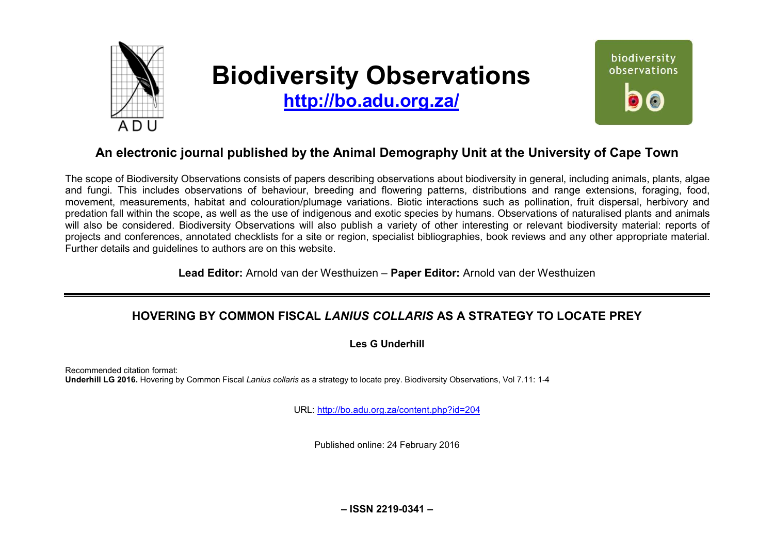

# **Biodiversity Observations**

**<http://bo.adu.org.za/>**



## **An electronic journal published by the Animal Demography Unit at the University of Cape Town**

The scope of Biodiversity Observations consists of papers describing observations about biodiversity in general, including animals, plants, algae and fungi. This includes observations of behaviour, breeding and flowering patterns, distributions and range extensions, foraging, food, movement, measurements, habitat and colouration/plumage variations. Biotic interactions such as pollination, fruit dispersal, herbivory and predation fall within the scope, as well as the use of indigenous and exotic species by humans. Observations of naturalised plants and animals will also be considered. Biodiversity Observations will also publish a variety of other interesting or relevant biodiversity material: reports of projects and conferences, annotated checklists for a site or region, specialist bibliographies, book reviews and any other appropriate material. Further details and guidelines to authors are on this website.

**Lead Editor:** Arnold van der Westhuizen – **Paper Editor:** Arnold van der Westhuizen

### **HOVERING BY COMMON FISCAL** *LANIUS COLLARIS* **AS A STRATEGY TO LOCATE PREY**

**Les G Underhill** 

Recommended citation format: **Underhill LG 2016.** Hovering by Common Fiscal *Lanius collaris* as a strategy to locate prey. Biodiversity Observations, Vol 7.11: 1-4

URL:<http://bo.adu.org.za/content.php?id=204>

Published online: 24 February 2016

**– ISSN 2219-0341 –**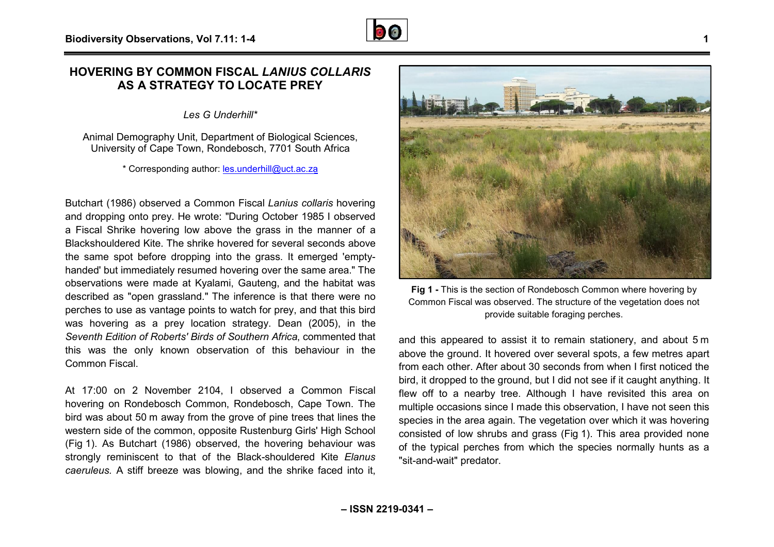#### **HOVERING BY COMMON FISCAL** *LANIUS COLLARIS* **AS A STRATEGY TO LOCATE PREY ATE**

*Les G Underhill\** 

Animal Demography Unit, Department of Biological Sciences, University of Cape Town, Rondebosch, 7701 South Africa

\* Corresponding author: [les.underhill@uct.ac.za](mailto:les.underhill@uct.ac.za)

Butchart (1986) observed a Common Fiscal *Lanius collaris* hovering and dropping onto prey. He wrote: "During October 1985 I observed a Fiscal Shrike hovering low above the grass in the manner of a Blackshouldered Kite. The shrike hovered for several seconds above the same spot before dropping into the grass. It emerged 'emptyhanded' but immediately resumed hovering over the same area." The observations were made at Kyalami, Gauteng, and the habitat was described as "open grassland." The inference is that there were no perches to use as vantage points to watch for prey, and that this bird was hovering as a prey location strategy. Dean (2005), in the *Seventh Edition of Roberts' Birds of Southern Africa*, commented that this was the only known observation of this behaviour in the Common Fiscal. During October 1985 I observed<br>e the grass in the manner of a<br>vered for several seconds above<br>b the grass. It emerged 'emptyade at Kyalami, Gauteng, and the habitat was<br>rassland." The inference is that there were no<br>tage points to watch for prey, and that this bird<br>prey location strategy. Dean (2005), in the<br>berts' Birds of Southern Africa, com

At 17:00 on 2 November 2104, I observed a Common Fiscal hovering on Rondebosch Common, Rondebosch, Cape Town. The bird was about 50 m away from the grove of pine trees that lines the western side of the common, opposite Rustenburg Girls' High School (Fig 1). As Butchart (1986) observed, the hovering behaviour was (Fig 1). As Butchart (1986) observed, the hovering behaviour was<br>strongly reminiscent to that of the Black-shouldered Kite *Elanus caeruleus.* A stiff breeze was blowing, and the shrike faced into it,

**Fig 1 -** This is the section of Rondebosch Common where hovering by Common Fiscal was observed. The structure of the vegetation does not

and this appeared to assist it to remain stationery, and about 5 5 m above the ground. It hovered over several spots, a few metres apart from each other. After about 30 seconds from when I first noticed the bird, it dropped to the ground, but I did not see if it caught anything. It flew off to a nearby tree. Although I have revisited this area on multiple occasions since I made this observation, I have not seen this species in the area again. The vegetation over which it was hovering consisted of low shrubs and grass (Fig 1). This area provided none of the typical perches from which the species normally hunts as a "sit-and-wait" predator.

provide suitable foraging perches.

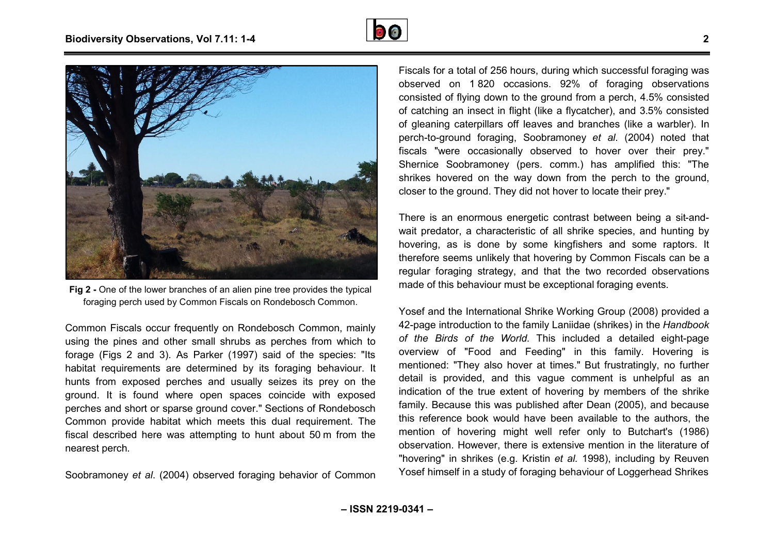



**Fig 2 -** One of the lower branches of an alien pine tree provides the typical foraging perch used by Common Fiscals on Rondebosch Common.

Common Fiscals occur frequently on Rondebosch Common, mainly using the pines and other small shrubs as perches from which to forage (Figs 2 and 3). As Parker (1997) said of the species: "Its habitat requirements are determined by its foraging behaviour. It hunts from exposed perches and usually seizes its prey on the ground. It is found where open spaces coincide with exposed perches and short or sparse ground cover." Sections of Rondebosch Common provide habitat which meets this dual requirement. The fiscal described here was attempting to hunt about 50 m from the nearest perch. ntly on Rondebosch Common, mainly<br>nall shrubs as perches from which to<br>arker (1997) said of the species: "Its

Soobramoney *et al*. (2004) observed foraging behavior of Common

Fiscals for a total of 256 hours, during which successful foraging was observed on 1 820 occasions. 92% of foraging observations consisted of flying down to the ground from a perch, 4.5% consisted of catching an insect in flight (like a flycatcher), and 3. 3.5% consisted of gleaning caterpillars off leaves and branches (like a warbler). In perch-to-ground foraging, Soobramoney *et al* . (2004) noted that fiscals "were occasionally observed to hover over their prey." Shernice Soobramoney (pers. comm.) has amplified this: "The shrikes hovered on the way down from the perch to the ground, shrikes hovered on the way down from the perch to the<br>closer to the ground. They did not hover to locate their prey."

There is an enormous energetic contrast between being a sit-andwait predator, a characteristic of all shrike species, and hunting by hovering, as is done by some kingfishers and some raptors. It therefore seems unlikely that hovering by Common Fiscals can be a regular foraging strategy, and that the two recorded observations made of this behaviour must be exceptional foraging events.

Yosef and the International Shrike Working Group (2008) provided a 42-page introduction to the family Laniidae (shrikes) in the Handbook *of the Birds of the World*. This included a d detailed eight-page overview of "Food and Feeding" in this family. Hovering is mentioned: "They also hover at times." But frustratingly, no further detail is provided, and this vague comment is unhelpful as an indication of the true extent of hovering by members of the shrike family. Because this was published after Dean (2005), and because this reference book would have been available to the authors, the mention of hovering might well refer only to Butchart's (1986) observation. However, there is extensive mention in the literature of "hovering" in shrikes (e.g. Kristin *et al.* 1998), including by Reuven Yosef himself in a study of foraging behaviour of Loggerhead Shrikes published after Dean (2005), and because<br>d have been available to the authors, the<br>ght well refer only to Butchart's (1986)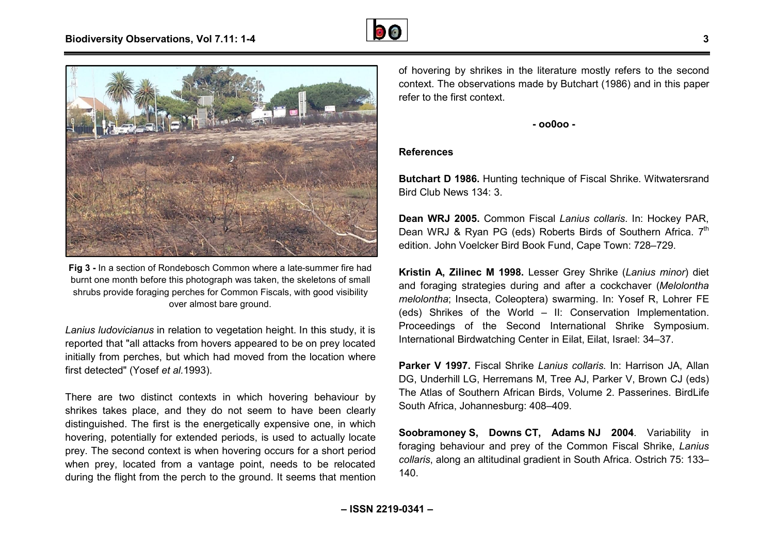



Fig 3 - In a section of Rondebosch Common where a late-summer fire had burnt one month before this photograph was taken, the skeletons of small shrubs provide foraging perches for Common Fiscals, with good visibility over almost bare ground.

*Lanius ludovicianus* in relation to vegetation height. In this study, it is reported that "all attacks from hovers appeared to be on prey located initially from perches, but which had moved from the location where first detected" (Yosef *et al.*1993).

There are two distinct contexts in which hovering behaviour by shrikes takes place, and they do not seem to have been clearly distinguished. The first is the energetically expensive one, in which hovering, potentially for extended periods, is used to actually locate prey. The second context is when hovering occurs for a short period when prey, located from a vantage point, needs to be relocated during the flight from the perch to the ground. It seems that mention uished. The first is the energetically expensive one, in which<br>ng, potentially for extended periods, is used to actually locate<br>The second context is when hovering occurs for a short period<br>prey, located from a vantage poi of hovering by shrikes in the literature mostly refers to the second context. The observations made by Butchart (1986) and in this paper refer to the first context.

**- oo0oo -** 

#### **References**

**Butchart D 1986.** Hunting technique of Fiscal Shrike. Witwatersrand Bird Club News 134: 3.

**Dean WRJ 2005.** Common Fiscal *Lanius collaris* . In: Hockey PAR, Dean WRJ & Ryan PG (eds) Roberts Birds of Southern Africa. 7<sup>th</sup> edition. John Voelcker Bird Book Fund, Cape Town: 728 728–729.

**Kristin A, Zilinec M 1998.** Lesser Grey Shrike ( *Lanius minor*) diet and foraging strategies during and after a cockchaver ( *Melolontha melolontha*; Insecta, Coleoptera) swarming. In: Yosef R, Lohrer FE (eds) Shrikes of the World – II: Conservation Implementation. Proceedings of the Second International Shrike Symposium. International Birdwatching Center in Eilat, Eilat, Israel: 34 l: Conservation Impleme<br>Iternational Shrike Symr<br>I Eilat, Eilat, Israel: 34–37.

**Parker V 1997.** Fiscal Shrike *Lanius collaris.* In: Harrison JA, Allan DG, Underhill LG, Herremans M, Tree AJ, Parker V, Brown CJ (eds) The Atlas of Southern African Birds, Volume 2. Passerines. BirdLife South Africa, Johannesburg: 408–409.

**Soobramoney S, Downs CT, Adams NJ 2004** . Variability in foraging behaviour and prey of the Common Fiscal Shrike, *Lanius collaris*, along an altitudinal gradient in South Africa. Ostrich 75: 133 133–140.